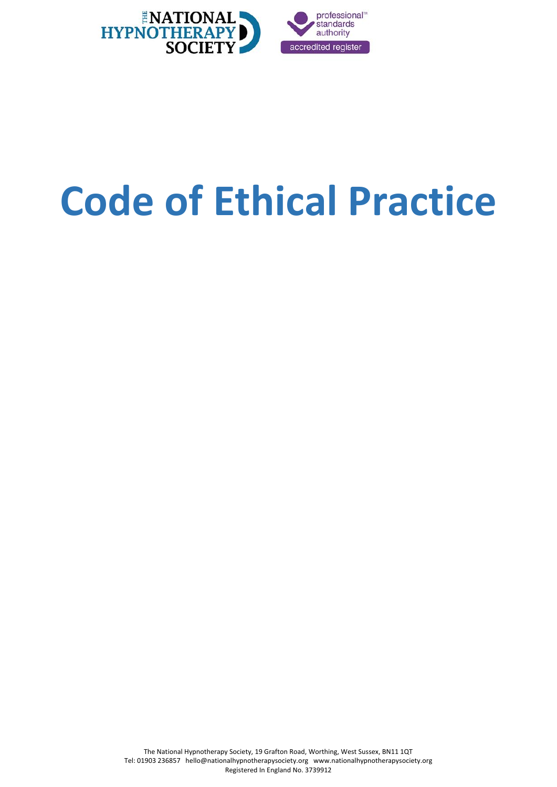

# <span id="page-0-0"></span>**Code of Ethical Practice**

The National Hypnotherapy Society, 19 Grafton Road, Worthing, West Sussex, BN11 1QT Tel: 01903 236857 hello@nationalhypnotherapysociety.org www.nationalhypnotherapysociety.org Registered In England No. 3739912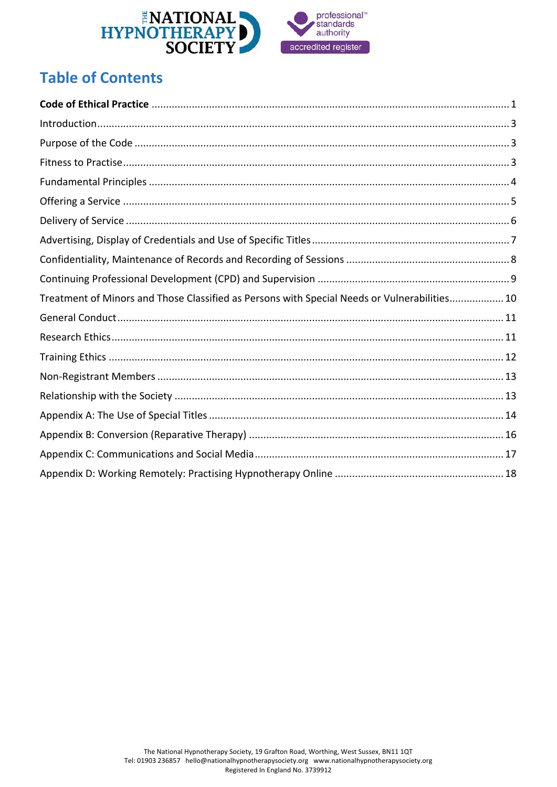

# **Table of Contents**

| Treatment of Minors and Those Classified as Persons with Special Needs or Vulnerabilities 10 |
|----------------------------------------------------------------------------------------------|
|                                                                                              |
|                                                                                              |
|                                                                                              |
|                                                                                              |
|                                                                                              |
|                                                                                              |
|                                                                                              |
|                                                                                              |
|                                                                                              |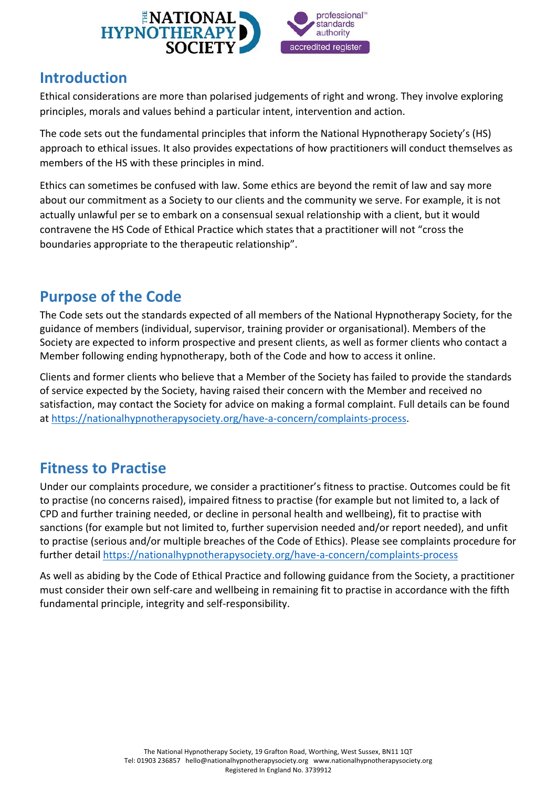

### <span id="page-2-0"></span>**Introduction**

Ethical considerations are more than polarised judgements of right and wrong. They involve exploring principles, morals and values behind a particular intent, intervention and action.

The code sets out the fundamental principles that inform the National Hypnotherapy Society's (HS) approach to ethical issues. It also provides expectations of how practitioners will conduct themselves as members of the HS with these principles in mind.

Ethics can sometimes be confused with law. Some ethics are beyond the remit of law and say more about our commitment as a Society to our clients and the community we serve. For example, it is not actually unlawful per se to embark on a consensual sexual relationship with a client, but it would contravene the HS Code of Ethical Practice which states that a practitioner will not "cross the boundaries appropriate to the therapeutic relationship".

# <span id="page-2-1"></span>**Purpose of the Code**

The Code sets out the standards expected of all members of the National Hypnotherapy Society, for the guidance of members (individual, supervisor, training provider or organisational). Members of the Society are expected to inform prospective and present clients, as well as former clients who contact a Member following ending hypnotherapy, both of the Code and how to access it online.

Clients and former clients who believe that a Member of the Society has failed to provide the standards of service expected by the Society, having raised their concern with the Member and received no satisfaction, may contact the Society for advice on making a formal complaint. Full details can be found at [https://nationalhypnotherapysociety.org/have-a-concern/complaints-process.](https://nationalhypnotherapysociety.org/have-a-concern/complaints-process)

# <span id="page-2-2"></span>**Fitness to Practise**

Under our complaints procedure, we consider a practitioner's fitness to practise. Outcomes could be fit to practise (no concerns raised), impaired fitness to practise (for example but not limited to, a lack of CPD and further training needed, or decline in personal health and wellbeing), fit to practise with sanctions (for example but not limited to, further supervision needed and/or report needed), and unfit to practise (serious and/or multiple breaches of the Code of Ethics). Please see complaints procedure for further detail<https://nationalhypnotherapysociety.org/have-a-concern/complaints-process>

As well as abiding by the Code of Ethical Practice and following guidance from the Society, a practitioner must consider their own self-care and wellbeing in remaining fit to practise in accordance with the fifth fundamental principle, integrity and self-responsibility.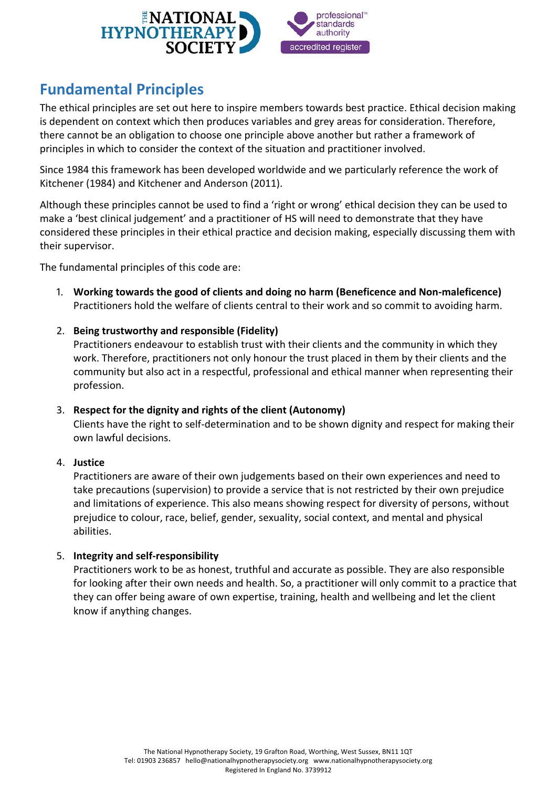

# <span id="page-3-0"></span>**Fundamental Principles**

The ethical principles are set out here to inspire members towards best practice. Ethical decision making is dependent on context which then produces variables and grey areas for consideration. Therefore, there cannot be an obligation to choose one principle above another but rather a framework of principles in which to consider the context of the situation and practitioner involved.

Since 1984 this framework has been developed worldwide and we particularly reference the work of Kitchener (1984) and Kitchener and Anderson (2011).

Although these principles cannot be used to find a 'right or wrong' ethical decision they can be used to make a 'best clinical judgement' and a practitioner of HS will need to demonstrate that they have considered these principles in their ethical practice and decision making, especially discussing them with their supervisor.

The fundamental principles of this code are:

- 1. **Working towards the good of clients and doing no harm (Beneficence and Non-maleficence)** Practitioners hold the welfare of clients central to their work and so commit to avoiding harm.
- 2. **Being trustworthy and responsible (Fidelity)**

Practitioners endeavour to establish trust with their clients and the community in which they work. Therefore, practitioners not only honour the trust placed in them by their clients and the community but also act in a respectful, professional and ethical manner when representing their profession.

3. **Respect for the dignity and rights of the client (Autonomy)**

Clients have the right to self-determination and to be shown dignity and respect for making their own lawful decisions.

#### 4. **Justice**

Practitioners are aware of their own judgements based on their own experiences and need to take precautions (supervision) to provide a service that is not restricted by their own prejudice and limitations of experience. This also means showing respect for diversity of persons, without prejudice to colour, race, belief, gender, sexuality, social context, and mental and physical abilities.

#### 5. **Integrity and self-responsibility**

Practitioners work to be as honest, truthful and accurate as possible. They are also responsible for looking after their own needs and health. So, a practitioner will only commit to a practice that they can offer being aware of own expertise, training, health and wellbeing and let the client know if anything changes.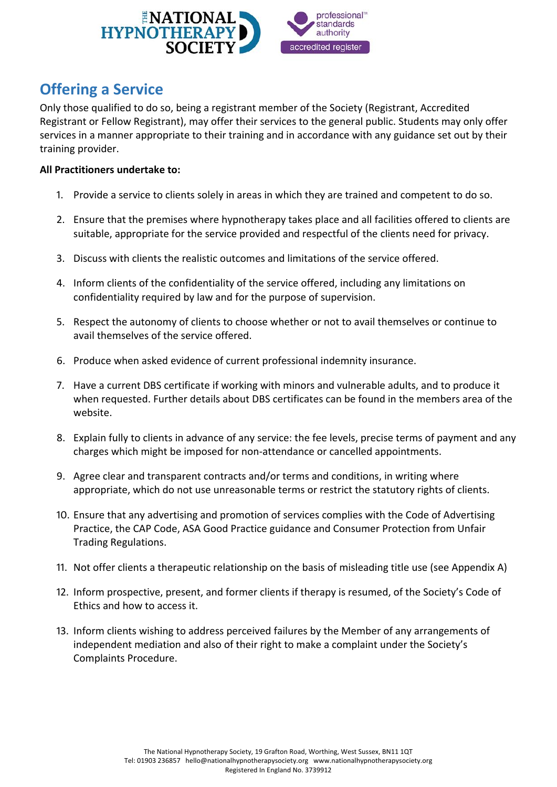

# <span id="page-4-0"></span>**Offering a Service**

Only those qualified to do so, being a registrant member of the Society (Registrant, Accredited Registrant or Fellow Registrant), may offer their services to the general public. Students may only offer services in a manner appropriate to their training and in accordance with any guidance set out by their training provider.

- 1. Provide a service to clients solely in areas in which they are trained and competent to do so.
- 2. Ensure that the premises where hypnotherapy takes place and all facilities offered to clients are suitable, appropriate for the service provided and respectful of the clients need for privacy.
- 3. Discuss with clients the realistic outcomes and limitations of the service offered.
- 4. Inform clients of the confidentiality of the service offered, including any limitations on confidentiality required by law and for the purpose of supervision.
- 5. Respect the autonomy of clients to choose whether or not to avail themselves or continue to avail themselves of the service offered.
- 6. Produce when asked evidence of current professional indemnity insurance.
- 7. Have a current DBS certificate if working with minors and vulnerable adults, and to produce it when requested. Further details about DBS certificates can be found in the members area of the website.
- 8. Explain fully to clients in advance of any service: the fee levels, precise terms of payment and any charges which might be imposed for non-attendance or cancelled appointments.
- 9. Agree clear and transparent contracts and/or terms and conditions, in writing where appropriate, which do not use unreasonable terms or restrict the statutory rights of clients.
- 10. Ensure that any advertising and promotion of services complies with the Code of Advertising Practice, the CAP Code, ASA Good Practice guidance and Consumer Protection from Unfair Trading Regulations.
- 11. Not offer clients a therapeutic relationship on the basis of misleading title use (see Appendix A)
- 12. Inform prospective, present, and former clients if therapy is resumed, of the Society's Code of Ethics and how to access it.
- 13. Inform clients wishing to address perceived failures by the Member of any arrangements of independent mediation and also of their right to make a complaint under the Society's Complaints Procedure.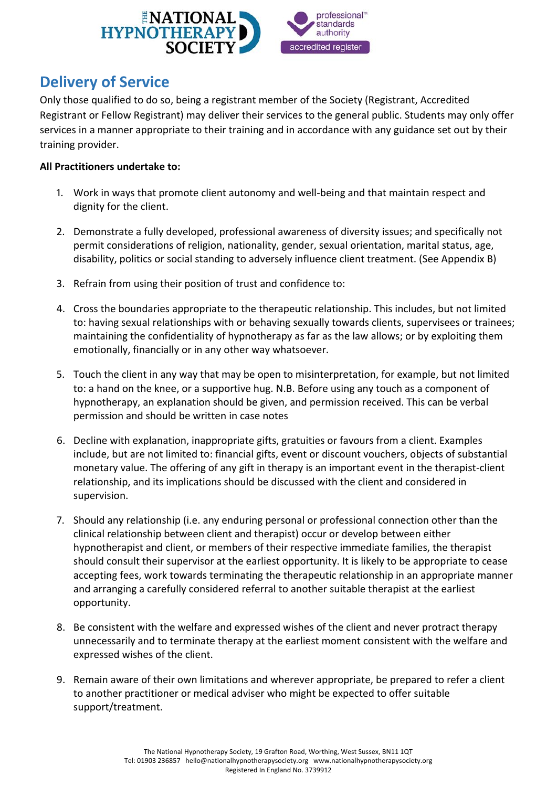

# <span id="page-5-0"></span>**Delivery of Service**

Only those qualified to do so, being a registrant member of the Society (Registrant, Accredited Registrant or Fellow Registrant) may deliver their services to the general public. Students may only offer services in a manner appropriate to their training and in accordance with any guidance set out by their training provider.

- 1. Work in ways that promote client autonomy and well-being and that maintain respect and dignity for the client.
- 2. Demonstrate a fully developed, professional awareness of diversity issues; and specifically not permit considerations of religion, nationality, gender, sexual orientation, marital status, age, disability, politics or social standing to adversely influence client treatment. (See Appendix B)
- 3. Refrain from using their position of trust and confidence to:
- 4. Cross the boundaries appropriate to the therapeutic relationship. This includes, but not limited to: having sexual relationships with or behaving sexually towards clients, supervisees or trainees; maintaining the confidentiality of hypnotherapy as far as the law allows; or by exploiting them emotionally, financially or in any other way whatsoever.
- 5. Touch the client in any way that may be open to misinterpretation, for example, but not limited to: a hand on the knee, or a supportive hug. N.B. Before using any touch as a component of hypnotherapy, an explanation should be given, and permission received. This can be verbal permission and should be written in case notes
- 6. Decline with explanation, inappropriate gifts, gratuities or favours from a client. Examples include, but are not limited to: financial gifts, event or discount vouchers, objects of substantial monetary value. The offering of any gift in therapy is an important event in the therapist-client relationship, and its implications should be discussed with the client and considered in supervision.
- 7. Should any relationship (i.e. any enduring personal or professional connection other than the clinical relationship between client and therapist) occur or develop between either hypnotherapist and client, or members of their respective immediate families, the therapist should consult their supervisor at the earliest opportunity. It is likely to be appropriate to cease accepting fees, work towards terminating the therapeutic relationship in an appropriate manner and arranging a carefully considered referral to another suitable therapist at the earliest opportunity.
- 8. Be consistent with the welfare and expressed wishes of the client and never protract therapy unnecessarily and to terminate therapy at the earliest moment consistent with the welfare and expressed wishes of the client.
- 9. Remain aware of their own limitations and wherever appropriate, be prepared to refer a client to another practitioner or medical adviser who might be expected to offer suitable support/treatment.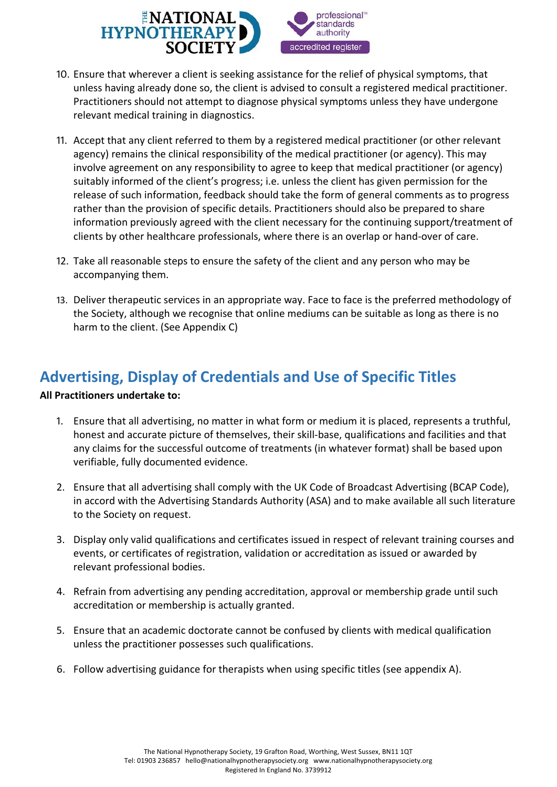

- 10. Ensure that wherever a client is seeking assistance for the relief of physical symptoms, that unless having already done so, the client is advised to consult a registered medical practitioner. Practitioners should not attempt to diagnose physical symptoms unless they have undergone relevant medical training in diagnostics.
- 11. Accept that any client referred to them by a registered medical practitioner (or other relevant agency) remains the clinical responsibility of the medical practitioner (or agency). This may involve agreement on any responsibility to agree to keep that medical practitioner (or agency) suitably informed of the client's progress; i.e. unless the client has given permission for the release of such information, feedback should take the form of general comments as to progress rather than the provision of specific details. Practitioners should also be prepared to share information previously agreed with the client necessary for the continuing support/treatment of clients by other healthcare professionals, where there is an overlap or hand-over of care.
- 12. Take all reasonable steps to ensure the safety of the client and any person who may be accompanying them.
- 13. Deliver therapeutic services in an appropriate way. Face to face is the preferred methodology of the Society, although we recognise that online mediums can be suitable as long as there is no harm to the client. (See Appendix C)

# <span id="page-6-0"></span>**Advertising, Display of Credentials and Use of Specific Titles**

- 1. Ensure that all advertising, no matter in what form or medium it is placed, represents a truthful, honest and accurate picture of themselves, their skill-base, qualifications and facilities and that any claims for the successful outcome of treatments (in whatever format) shall be based upon verifiable, fully documented evidence.
- 2. Ensure that all advertising shall comply with the UK Code of Broadcast Advertising (BCAP Code), in accord with the Advertising Standards Authority (ASA) and to make available all such literature to the Society on request.
- 3. Display only valid qualifications and certificates issued in respect of relevant training courses and events, or certificates of registration, validation or accreditation as issued or awarded by relevant professional bodies.
- 4. Refrain from advertising any pending accreditation, approval or membership grade until such accreditation or membership is actually granted.
- 5. Ensure that an academic doctorate cannot be confused by clients with medical qualification unless the practitioner possesses such qualifications.
- 6. Follow advertising guidance for therapists when using specific titles (see appendix A).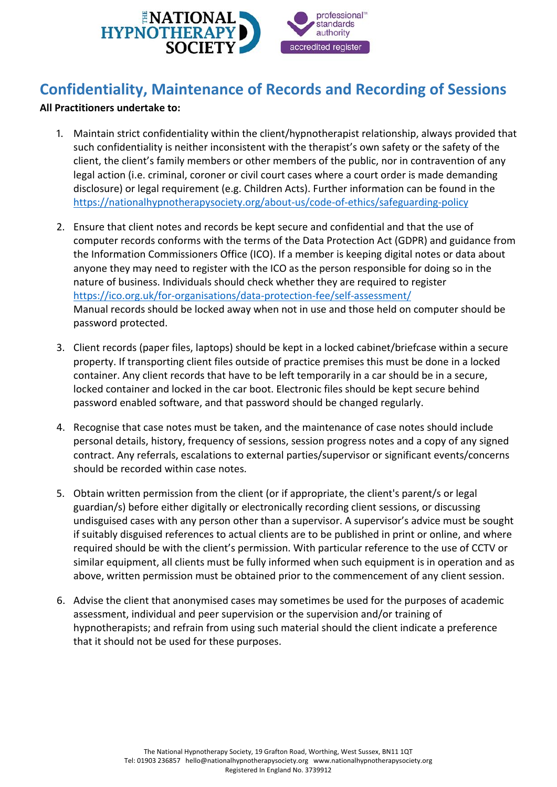

# <span id="page-7-0"></span>**Confidentiality, Maintenance of Records and Recording of Sessions**

- 1. Maintain strict confidentiality within the client/hypnotherapist relationship, always provided that such confidentiality is neither inconsistent with the therapist's own safety or the safety of the client, the client's family members or other members of the public, nor in contravention of any legal action (i.e. criminal, coroner or civil court cases where a court order is made demanding disclosure) or legal requirement (e.g. Children Acts). Further information can be found in the <https://nationalhypnotherapysociety.org/about-us/code-of-ethics/safeguarding-policy>
- 2. Ensure that client notes and records be kept secure and confidential and that the use of computer records conforms with the terms of the Data Protection Act (GDPR) and guidance from the Information Commissioners Office (ICO). If a member is keeping digital notes or data about anyone they may need to register with the ICO as the person responsible for doing so in the nature of business. Individuals should check whether they are required to register <https://ico.org.uk/for-organisations/data-protection-fee/self-assessment/> Manual records should be locked away when not in use and those held on computer should be password protected.
- 3. Client records (paper files, laptops) should be kept in a locked cabinet/briefcase within a secure property. If transporting client files outside of practice premises this must be done in a locked container. Any client records that have to be left temporarily in a car should be in a secure, locked container and locked in the car boot. Electronic files should be kept secure behind password enabled software, and that password should be changed regularly.
- 4. Recognise that case notes must be taken, and the maintenance of case notes should include personal details, history, frequency of sessions, session progress notes and a copy of any signed contract. Any referrals, escalations to external parties/supervisor or significant events/concerns should be recorded within case notes.
- 5. Obtain written permission from the client (or if appropriate, the client's parent/s or legal guardian/s) before either digitally or electronically recording client sessions, or discussing undisguised cases with any person other than a supervisor. A supervisor's advice must be sought if suitably disguised references to actual clients are to be published in print or online, and where required should be with the client's permission. With particular reference to the use of CCTV or similar equipment, all clients must be fully informed when such equipment is in operation and as above, written permission must be obtained prior to the commencement of any client session.
- 6. Advise the client that anonymised cases may sometimes be used for the purposes of academic assessment, individual and peer supervision or the supervision and/or training of hypnotherapists; and refrain from using such material should the client indicate a preference that it should not be used for these purposes.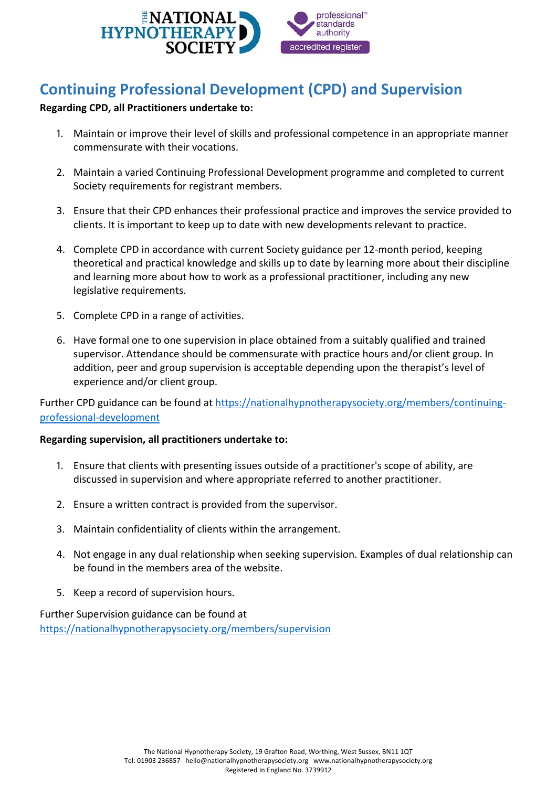

# <span id="page-8-0"></span>**Continuing Professional Development (CPD) and Supervision**

#### **Regarding CPD, all Practitioners undertake to:**

- 1. Maintain or improve their level of skills and professional competence in an appropriate manner commensurate with their vocations.
- 2. Maintain a varied Continuing Professional Development programme and completed to current Society requirements for registrant members.
- 3. Ensure that their CPD enhances their professional practice and improves the service provided to clients. It is important to keep up to date with new developments relevant to practice.
- 4. Complete CPD in accordance with current Society guidance per 12-month period, keeping theoretical and practical knowledge and skills up to date by learning more about their discipline and learning more about how to work as a professional practitioner, including any new legislative requirements.
- 5. Complete CPD in a range of activities.
- 6. Have formal one to one supervision in place obtained from a suitably qualified and trained supervisor. Attendance should be commensurate with practice hours and/or client group. In addition, peer and group supervision is acceptable depending upon the therapist's level of experience and/or client group.

Further CPD guidance can be found at [https://nationalhypnotherapysociety.org/members/continuing](https://nationalhypnotherapysociety.org/members/continuing-professional-development)[professional-development](https://nationalhypnotherapysociety.org/members/continuing-professional-development)

#### **Regarding supervision, all practitioners undertake to:**

- 1. Ensure that clients with presenting issues outside of a practitioner's scope of ability, are discussed in supervision and where appropriate referred to another practitioner.
- 2. Ensure a written contract is provided from the supervisor.
- 3. Maintain confidentiality of clients within the arrangement.
- 4. Not engage in any dual relationship when seeking supervision. Examples of dual relationship can be found in the members area of the website.
- 5. Keep a record of supervision hours.

Further Supervision guidance can be found at <https://nationalhypnotherapysociety.org/members/supervision>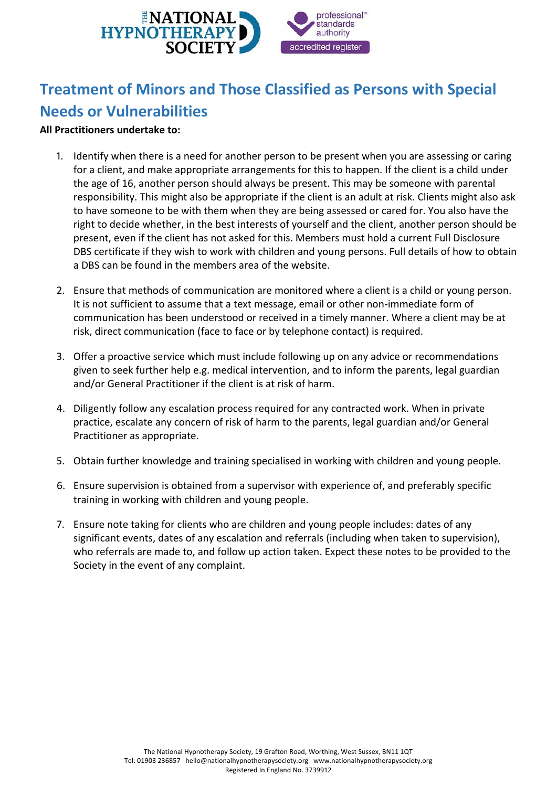

# <span id="page-9-0"></span>**Treatment of Minors and Those Classified as Persons with Special Needs or Vulnerabilities**

- 1. Identify when there is a need for another person to be present when you are assessing or caring for a client, and make appropriate arrangements for this to happen. If the client is a child under the age of 16, another person should always be present. This may be someone with parental responsibility. This might also be appropriate if the client is an adult at risk. Clients might also ask to have someone to be with them when they are being assessed or cared for. You also have the right to decide whether, in the best interests of yourself and the client, another person should be present, even if the client has not asked for this. Members must hold a current Full Disclosure DBS certificate if they wish to work with children and young persons. Full details of how to obtain a DBS can be found in the members area of the website.
- 2. Ensure that methods of communication are monitored where a client is a child or young person. It is not sufficient to assume that a text message, email or other non-immediate form of communication has been understood or received in a timely manner. Where a client may be at risk, direct communication (face to face or by telephone contact) is required.
- 3. Offer a proactive service which must include following up on any advice or recommendations given to seek further help e.g. medical intervention, and to inform the parents, legal guardian and/or General Practitioner if the client is at risk of harm.
- 4. Diligently follow any escalation process required for any contracted work. When in private practice, escalate any concern of risk of harm to the parents, legal guardian and/or General Practitioner as appropriate.
- 5. Obtain further knowledge and training specialised in working with children and young people.
- 6. Ensure supervision is obtained from a supervisor with experience of, and preferably specific training in working with children and young people.
- 7. Ensure note taking for clients who are children and young people includes: dates of any significant events, dates of any escalation and referrals (including when taken to supervision), who referrals are made to, and follow up action taken. Expect these notes to be provided to the Society in the event of any complaint.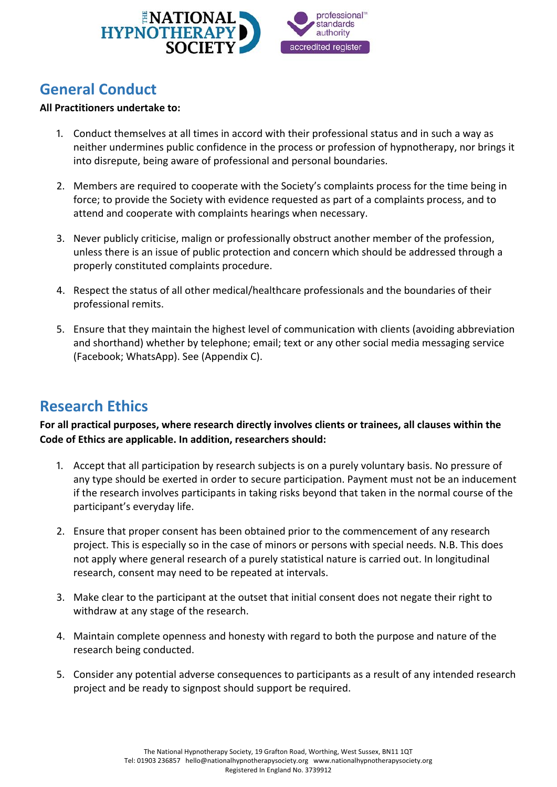

### <span id="page-10-0"></span>**General Conduct**

#### **All Practitioners undertake to:**

- 1. Conduct themselves at all times in accord with their professional status and in such a way as neither undermines public confidence in the process or profession of hypnotherapy, nor brings it into disrepute, being aware of professional and personal boundaries.
- 2. Members are required to cooperate with the Society's complaints process for the time being in force; to provide the Society with evidence requested as part of a complaints process, and to attend and cooperate with complaints hearings when necessary.
- 3. Never publicly criticise, malign or professionally obstruct another member of the profession, unless there is an issue of public protection and concern which should be addressed through a properly constituted complaints procedure.
- 4. Respect the status of all other medical/healthcare professionals and the boundaries of their professional remits.
- 5. Ensure that they maintain the highest level of communication with clients (avoiding abbreviation and shorthand) whether by telephone; email; text or any other social media messaging service (Facebook; WhatsApp). See (Appendix C).

### <span id="page-10-1"></span>**Research Ethics**

**For all practical purposes, where research directly involves clients or trainees, all clauses within the Code of Ethics are applicable. In addition, researchers should:**

- 1. Accept that all participation by research subjects is on a purely voluntary basis. No pressure of any type should be exerted in order to secure participation. Payment must not be an inducement if the research involves participants in taking risks beyond that taken in the normal course of the participant's everyday life.
- 2. Ensure that proper consent has been obtained prior to the commencement of any research project. This is especially so in the case of minors or persons with special needs. N.B. This does not apply where general research of a purely statistical nature is carried out. In longitudinal research, consent may need to be repeated at intervals.
- 3. Make clear to the participant at the outset that initial consent does not negate their right to withdraw at any stage of the research.
- 4. Maintain complete openness and honesty with regard to both the purpose and nature of the research being conducted.
- 5. Consider any potential adverse consequences to participants as a result of any intended research project and be ready to signpost should support be required.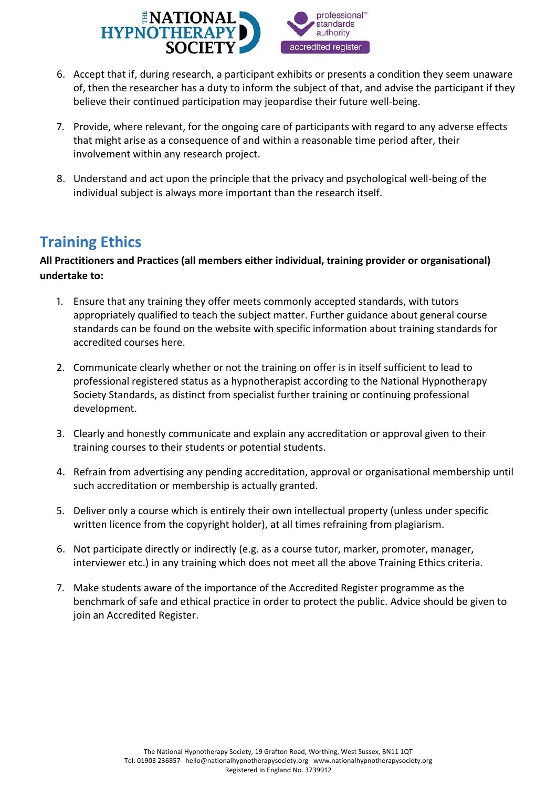

- 6. Accept that if, during research, a participant exhibits or presents a condition they seem unaware of, then the researcher has a duty to inform the subject of that, and advise the participant if they believe their continued participation may jeopardise their future well-being.
- 7. Provide, where relevant, for the ongoing care of participants with regard to any adverse effects that might arise as a consequence of and within a reasonable time period after, their involvement within any research project.
- 8. Understand and act upon the principle that the privacy and psychological well-being of the individual subject is always more important than the research itself.

### <span id="page-11-0"></span>**Training Ethics**

#### **All Practitioners and Practices (all members either individual, training provider or organisational) undertake to:**

- 1. Ensure that any training they offer meets commonly accepted standards, with tutors appropriately qualified to teach the subject matter. Further guidance about general course standards can be found on the website with specific information about training standards for accredited courses here.
- 2. Communicate clearly whether or not the training on offer is in itself sufficient to lead to professional registered status as a hypnotherapist according to the National Hypnotherapy Society Standards, as distinct from specialist further training or continuing professional development.
- 3. Clearly and honestly communicate and explain any accreditation or approval given to their training courses to their students or potential students.
- 4. Refrain from advertising any pending accreditation, approval or organisational membership until such accreditation or membership is actually granted.
- 5. Deliver only a course which is entirely their own intellectual property (unless under specific written licence from the copyright holder), at all times refraining from plagiarism.
- 6. Not participate directly or indirectly (e.g. as a course tutor, marker, promoter, manager, interviewer etc.) in any training which does not meet all the above Training Ethics criteria.
- 7. Make students aware of the importance of the Accredited Register programme as the benchmark of safe and ethical practice in order to protect the public. Advice should be given to join an Accredited Register.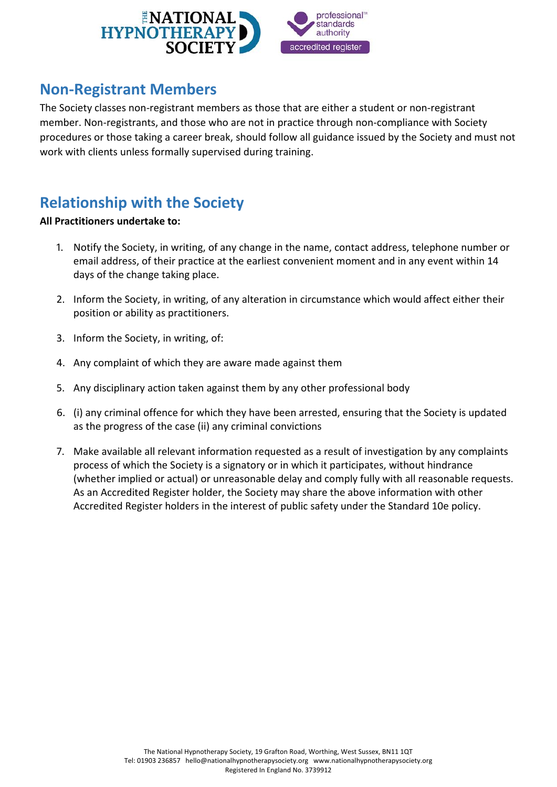

### <span id="page-12-0"></span>**Non-Registrant Members**

The Society classes non-registrant members as those that are either a student or non-registrant member. Non-registrants, and those who are not in practice through non-compliance with Society procedures or those taking a career break, should follow all guidance issued by the Society and must not work with clients unless formally supervised during training.

### <span id="page-12-1"></span>**Relationship with the Society**

- 1. Notify the Society, in writing, of any change in the name, contact address, telephone number or email address, of their practice at the earliest convenient moment and in any event within 14 days of the change taking place.
- 2. Inform the Society, in writing, of any alteration in circumstance which would affect either their position or ability as practitioners.
- 3. Inform the Society, in writing, of:
- 4. Any complaint of which they are aware made against them
- 5. Any disciplinary action taken against them by any other professional body
- 6. (i) any criminal offence for which they have been arrested, ensuring that the Society is updated as the progress of the case (ii) any criminal convictions
- 7. Make available all relevant information requested as a result of investigation by any complaints process of which the Society is a signatory or in which it participates, without hindrance (whether implied or actual) or unreasonable delay and comply fully with all reasonable requests. As an Accredited Register holder, the Society may share the above information with other Accredited Register holders in the interest of public safety under the Standard 10e policy.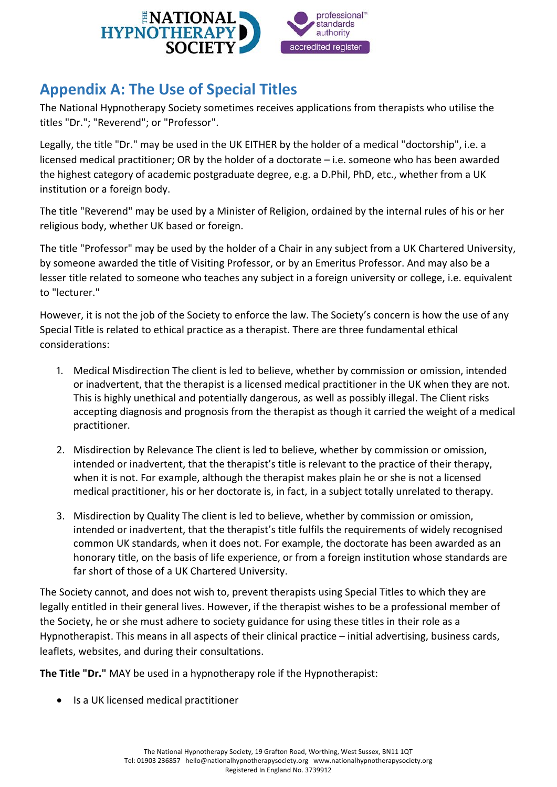

# <span id="page-13-0"></span>**Appendix A: The Use of Special Titles**

The National Hypnotherapy Society sometimes receives applications from therapists who utilise the titles "Dr."; "Reverend"; or "Professor".

Legally, the title "Dr." may be used in the UK EITHER by the holder of a medical "doctorship", i.e. a licensed medical practitioner; OR by the holder of a doctorate – i.e. someone who has been awarded the highest category of academic postgraduate degree, e.g. a D.Phil, PhD, etc., whether from a UK institution or a foreign body.

The title "Reverend" may be used by a Minister of Religion, ordained by the internal rules of his or her religious body, whether UK based or foreign.

The title "Professor" may be used by the holder of a Chair in any subject from a UK Chartered University, by someone awarded the title of Visiting Professor, or by an Emeritus Professor. And may also be a lesser title related to someone who teaches any subject in a foreign university or college, i.e. equivalent to "lecturer."

However, it is not the job of the Society to enforce the law. The Society's concern is how the use of any Special Title is related to ethical practice as a therapist. There are three fundamental ethical considerations:

- 1. Medical Misdirection The client is led to believe, whether by commission or omission, intended or inadvertent, that the therapist is a licensed medical practitioner in the UK when they are not. This is highly unethical and potentially dangerous, as well as possibly illegal. The Client risks accepting diagnosis and prognosis from the therapist as though it carried the weight of a medical practitioner.
- 2. Misdirection by Relevance The client is led to believe, whether by commission or omission, intended or inadvertent, that the therapist's title is relevant to the practice of their therapy, when it is not. For example, although the therapist makes plain he or she is not a licensed medical practitioner, his or her doctorate is, in fact, in a subject totally unrelated to therapy.
- 3. Misdirection by Quality The client is led to believe, whether by commission or omission, intended or inadvertent, that the therapist's title fulfils the requirements of widely recognised common UK standards, when it does not. For example, the doctorate has been awarded as an honorary title, on the basis of life experience, or from a foreign institution whose standards are far short of those of a UK Chartered University.

The Society cannot, and does not wish to, prevent therapists using Special Titles to which they are legally entitled in their general lives. However, if the therapist wishes to be a professional member of the Society, he or she must adhere to society guidance for using these titles in their role as a Hypnotherapist. This means in all aspects of their clinical practice – initial advertising, business cards, leaflets, websites, and during their consultations.

**The Title "Dr."** MAY be used in a hypnotherapy role if the Hypnotherapist:

• Is a UK licensed medical practitioner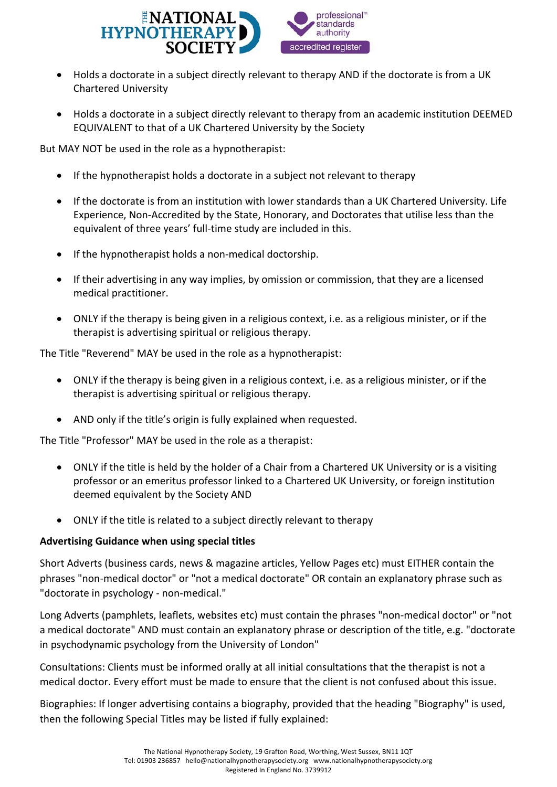

- Holds a doctorate in a subject directly relevant to therapy AND if the doctorate is from a UK Chartered University
- Holds a doctorate in a subject directly relevant to therapy from an academic institution DEEMED EQUIVALENT to that of a UK Chartered University by the Society

But MAY NOT be used in the role as a hypnotherapist:

- If the hypnotherapist holds a doctorate in a subject not relevant to therapy
- If the doctorate is from an institution with lower standards than a UK Chartered University. Life Experience, Non-Accredited by the State, Honorary, and Doctorates that utilise less than the equivalent of three years' full-time study are included in this.
- If the hypnotherapist holds a non-medical doctorship.
- If their advertising in any way implies, by omission or commission, that they are a licensed medical practitioner.
- ONLY if the therapy is being given in a religious context, i.e. as a religious minister, or if the therapist is advertising spiritual or religious therapy.

The Title "Reverend" MAY be used in the role as a hypnotherapist:

- ONLY if the therapy is being given in a religious context, i.e. as a religious minister, or if the therapist is advertising spiritual or religious therapy.
- AND only if the title's origin is fully explained when requested.

The Title "Professor" MAY be used in the role as a therapist:

- ONLY if the title is held by the holder of a Chair from a Chartered UK University or is a visiting professor or an emeritus professor linked to a Chartered UK University, or foreign institution deemed equivalent by the Society AND
- ONLY if the title is related to a subject directly relevant to therapy

#### **Advertising Guidance when using special titles**

Short Adverts (business cards, news & magazine articles, Yellow Pages etc) must EITHER contain the phrases "non-medical doctor" or "not a medical doctorate" OR contain an explanatory phrase such as "doctorate in psychology - non-medical."

Long Adverts (pamphlets, leaflets, websites etc) must contain the phrases "non-medical doctor" or "not a medical doctorate" AND must contain an explanatory phrase or description of the title, e.g. "doctorate in psychodynamic psychology from the University of London"

Consultations: Clients must be informed orally at all initial consultations that the therapist is not a medical doctor. Every effort must be made to ensure that the client is not confused about this issue.

Biographies: If longer advertising contains a biography, provided that the heading "Biography" is used, then the following Special Titles may be listed if fully explained: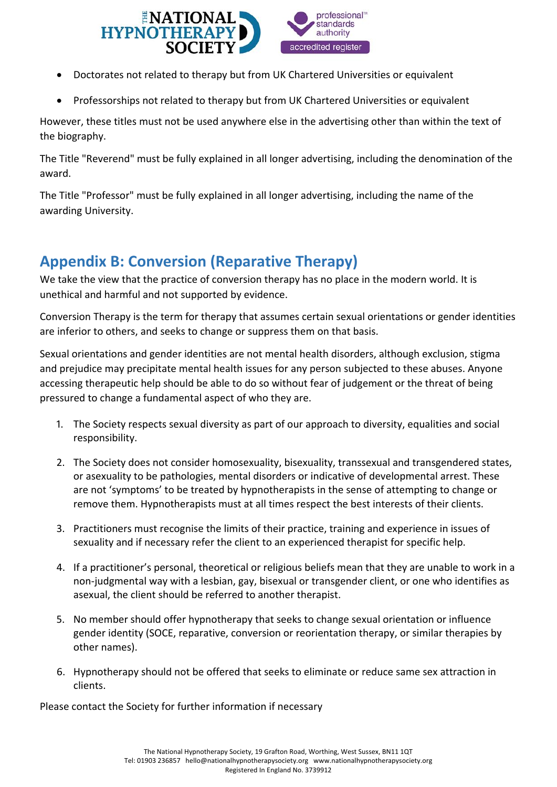

- Doctorates not related to therapy but from UK Chartered Universities or equivalent
- Professorships not related to therapy but from UK Chartered Universities or equivalent

However, these titles must not be used anywhere else in the advertising other than within the text of the biography.

The Title "Reverend" must be fully explained in all longer advertising, including the denomination of the award.

The Title "Professor" must be fully explained in all longer advertising, including the name of the awarding University.

# <span id="page-15-0"></span>**Appendix B: Conversion (Reparative Therapy)**

We take the view that the practice of conversion therapy has no place in the modern world. It is unethical and harmful and not supported by evidence.

Conversion Therapy is the term for therapy that assumes certain sexual orientations or gender identities are inferior to others, and seeks to change or suppress them on that basis.

Sexual orientations and gender identities are not mental health disorders, although exclusion, stigma and prejudice may precipitate mental health issues for any person subjected to these abuses. Anyone accessing therapeutic help should be able to do so without fear of judgement or the threat of being pressured to change a fundamental aspect of who they are.

- 1. The Society respects sexual diversity as part of our approach to diversity, equalities and social responsibility.
- 2. The Society does not consider homosexuality, bisexuality, transsexual and transgendered states, or asexuality to be pathologies, mental disorders or indicative of developmental arrest. These are not 'symptoms' to be treated by hypnotherapists in the sense of attempting to change or remove them. Hypnotherapists must at all times respect the best interests of their clients.
- 3. Practitioners must recognise the limits of their practice, training and experience in issues of sexuality and if necessary refer the client to an experienced therapist for specific help.
- 4. If a practitioner's personal, theoretical or religious beliefs mean that they are unable to work in a non-judgmental way with a lesbian, gay, bisexual or transgender client, or one who identifies as asexual, the client should be referred to another therapist.
- 5. No member should offer hypnotherapy that seeks to change sexual orientation or influence gender identity (SOCE, reparative, conversion or reorientation therapy, or similar therapies by other names).
- 6. Hypnotherapy should not be offered that seeks to eliminate or reduce same sex attraction in clients.

Please contact the Society for further information if necessary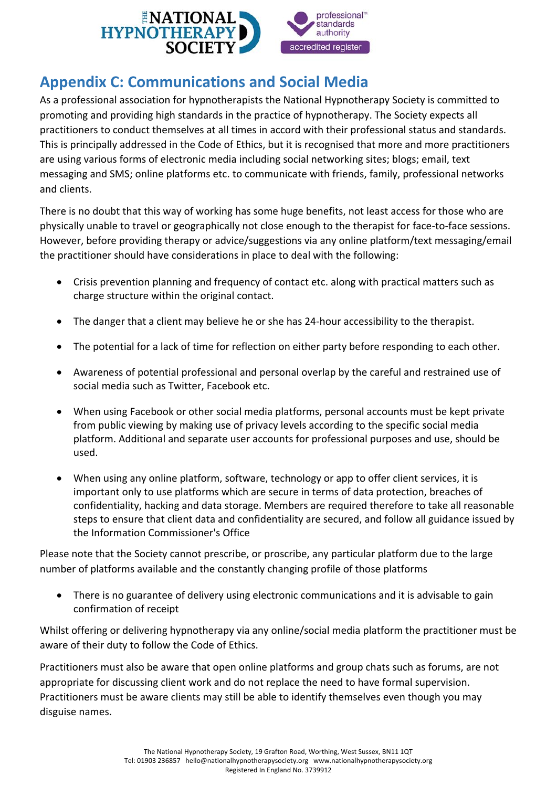

# <span id="page-16-0"></span>**Appendix C: Communications and Social Media**

As a professional association for hypnotherapists the National Hypnotherapy Society is committed to promoting and providing high standards in the practice of hypnotherapy. The Society expects all practitioners to conduct themselves at all times in accord with their professional status and standards. This is principally addressed in the Code of Ethics, but it is recognised that more and more practitioners are using various forms of electronic media including social networking sites; blogs; email, text messaging and SMS; online platforms etc. to communicate with friends, family, professional networks and clients.

There is no doubt that this way of working has some huge benefits, not least access for those who are physically unable to travel or geographically not close enough to the therapist for face-to-face sessions. However, before providing therapy or advice/suggestions via any online platform/text messaging/email the practitioner should have considerations in place to deal with the following:

- Crisis prevention planning and frequency of contact etc. along with practical matters such as charge structure within the original contact.
- The danger that a client may believe he or she has 24-hour accessibility to the therapist.
- The potential for a lack of time for reflection on either party before responding to each other.
- Awareness of potential professional and personal overlap by the careful and restrained use of social media such as Twitter, Facebook etc.
- When using Facebook or other social media platforms, personal accounts must be kept private from public viewing by making use of privacy levels according to the specific social media platform. Additional and separate user accounts for professional purposes and use, should be used.
- When using any online platform, software, technology or app to offer client services, it is important only to use platforms which are secure in terms of data protection, breaches of confidentiality, hacking and data storage. Members are required therefore to take all reasonable steps to ensure that client data and confidentiality are secured, and follow all guidance issued by the Information Commissioner's Office

Please note that the Society cannot prescribe, or proscribe, any particular platform due to the large number of platforms available and the constantly changing profile of those platforms

• There is no guarantee of delivery using electronic communications and it is advisable to gain confirmation of receipt

Whilst offering or delivering hypnotherapy via any online/social media platform the practitioner must be aware of their duty to follow the Code of Ethics.

Practitioners must also be aware that open online platforms and group chats such as forums, are not appropriate for discussing client work and do not replace the need to have formal supervision. Practitioners must be aware clients may still be able to identify themselves even though you may disguise names.